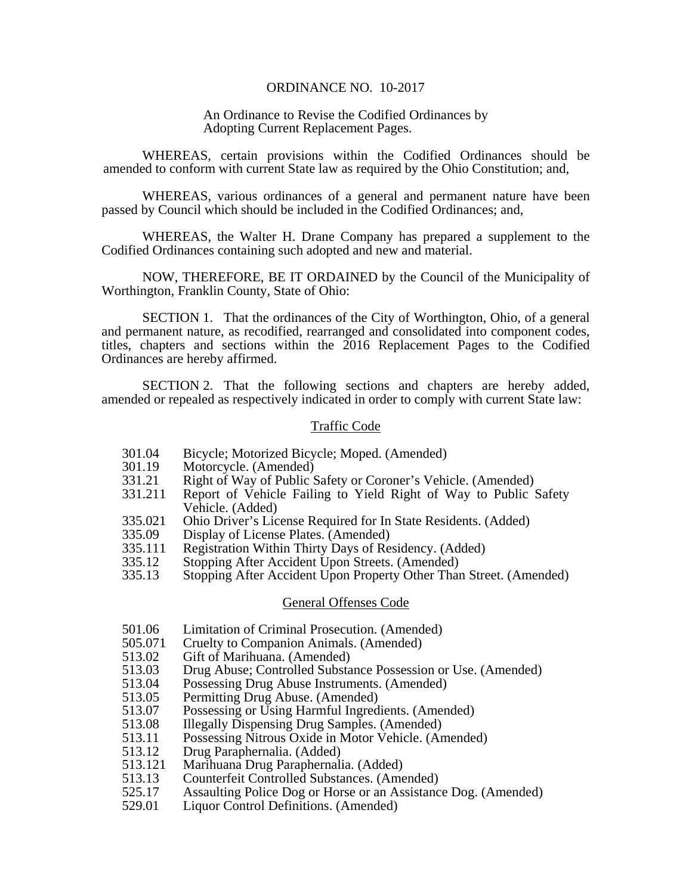#### ORDINANCE NO. 10-2017

### An Ordinance to Revise the Codified Ordinances by Adopting Current Replacement Pages.

 WHEREAS, certain provisions within the Codified Ordinances should be amended to conform with current State law as required by the Ohio Constitution; and,

 WHEREAS, various ordinances of a general and permanent nature have been passed by Council which should be included in the Codified Ordinances; and,

 WHEREAS, the Walter H. Drane Company has prepared a supplement to the Codified Ordinances containing such adopted and new and material.

 NOW, THEREFORE, BE IT ORDAINED by the Council of the Municipality of Worthington, Franklin County, State of Ohio:

 SECTION 1. That the ordinances of the City of Worthington, Ohio, of a general and permanent nature, as recodified, rearranged and consolidated into component codes, titles, chapters and sections within the 2016 Replacement Pages to the Codified Ordinances are hereby affirmed.

 SECTION 2. That the following sections and chapters are hereby added, amended or repealed as respectively indicated in order to comply with current State law:

#### Traffic Code

- 301.04 Bicycle; Motorized Bicycle; Moped. (Amended)
- Motorcycle. (Amended)
- 331.21 Right of Way of Public Safety or Coroner's Vehicle. (Amended)
- 331.211 Report of Vehicle Failing to Yield Right of Way to Public Safety Vehicle. (Added)
- 335.021 Ohio Driver's License Required for In State Residents. (Added)
- 335.09 Display of License Plates. (Amended)
- 335.111 Registration Within Thirty Days of Residency. (Added)
- 335.12 Stopping After Accident Upon Streets. (Amended)
- 335.13 Stopping After Accident Upon Property Other Than Street. (Amended)

#### General Offenses Code

- 501.06 Limitation of Criminal Prosecution. (Amended)
- 505.071 Cruelty to Companion Animals. (Amended)
- 513.02 Gift of Marihuana. (Amended)
- 513.03 Drug Abuse; Controlled Substance Possession or Use. (Amended)
- 513.04 Possessing Drug Abuse Instruments. (Amended)
- 513.05 Permitting Drug Abuse. (Amended)
- 513.07 Possessing or Using Harmful Ingredients. (Amended)
- 513.08 Illegally Dispensing Drug Samples. (Amended)
- 513.11 Possessing Nitrous Oxide in Motor Vehicle. (Amended)<br>513.12 Drug Paraphernalia. (Added)
- Drug Paraphernalia. (Added)
- 513.121 Marihuana Drug Paraphernalia. (Added)
- 513.13 Counterfeit Controlled Substances. (Amended)
- 525.17 Assaulting Police Dog or Horse or an Assistance Dog. (Amended)
- 529.01 Liquor Control Definitions. (Amended)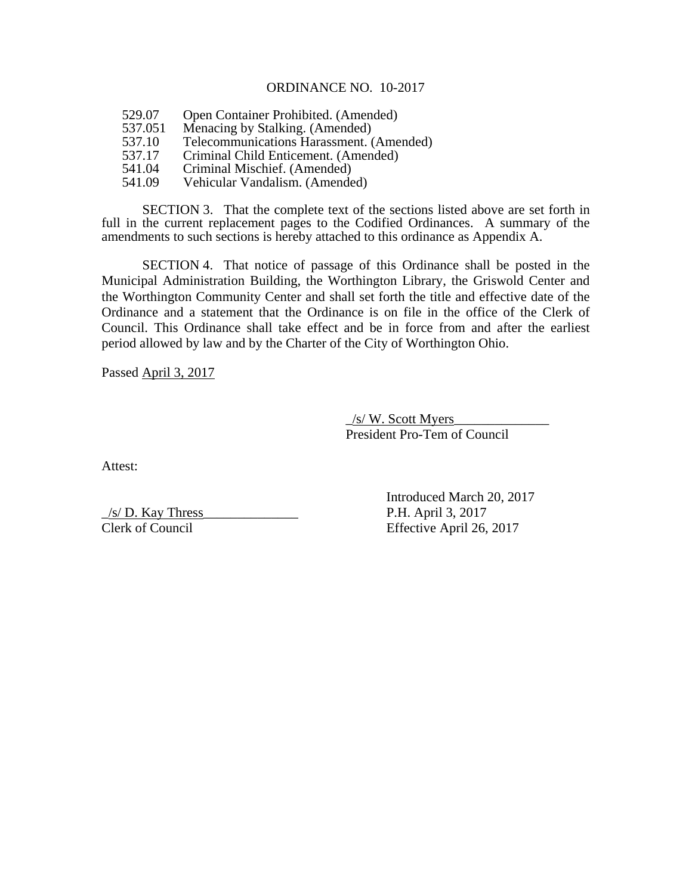### ORDINANCE NO. 10-2017

- 529.07 Open Container Prohibited. (Amended)
- 537.051 Menacing by Stalking. (Amended)
- 537.10 Telecommunications Harassment. (Amended)
- 537.17 Criminal Child Enticement. (Amended)<br>541.04 Criminal Mischief. (Amended)
- Criminal Mischief. (Amended)
- 541.09 Vehicular Vandalism. (Amended)

 SECTION 3. That the complete text of the sections listed above are set forth in full in the current replacement pages to the Codified Ordinances. A summary of the amendments to such sections is hereby attached to this ordinance as Appendix A.

 SECTION 4. That notice of passage of this Ordinance shall be posted in the Municipal Administration Building, the Worthington Library, the Griswold Center and the Worthington Community Center and shall set forth the title and effective date of the Ordinance and a statement that the Ordinance is on file in the office of the Clerk of Council. This Ordinance shall take effect and be in force from and after the earliest period allowed by law and by the Charter of the City of Worthington Ohio.

Passed April 3, 2017

 $/s$  W. Scott Myers President Pro-Tem of Council

Attest:

 $\angle$ s/ D. Kay Thress P.H. April 3, 2017

 Introduced March 20, 2017 Clerk of Council Effective April 26, 2017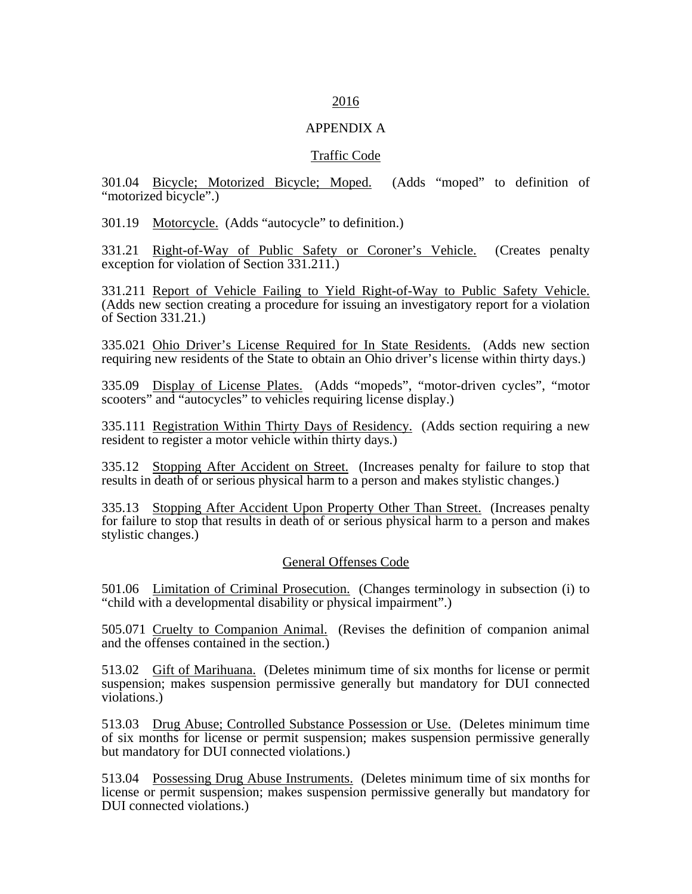# 2016

## APPENDIX A

# Traffic Code

301.04 Bicycle; Motorized Bicycle; Moped. (Adds "moped" to definition of "motorized bicycle".)

301.19 Motorcycle. (Adds "autocycle" to definition.)

331.21 Right-of-Way of Public Safety or Coroner's Vehicle. (Creates penalty exception for violation of Section 331.211.)

331.211 Report of Vehicle Failing to Yield Right-of-Way to Public Safety Vehicle. (Adds new section creating a procedure for issuing an investigatory report for a violation of Section 331.21.)

335.021 Ohio Driver's License Required for In State Residents. (Adds new section requiring new residents of the State to obtain an Ohio driver's license within thirty days.)

335.09 Display of License Plates. (Adds "mopeds", "motor-driven cycles", "motor scooters" and "autocycles" to vehicles requiring license display.)

335.111 Registration Within Thirty Days of Residency. (Adds section requiring a new resident to register a motor vehicle within thirty days.)

335.12 Stopping After Accident on Street. (Increases penalty for failure to stop that results in death of or serious physical harm to a person and makes stylistic changes.)

335.13 Stopping After Accident Upon Property Other Than Street. (Increases penalty for failure to stop that results in death of or serious physical harm to a person and makes stylistic changes.)

## General Offenses Code

501.06 Limitation of Criminal Prosecution. (Changes terminology in subsection (i) to "child with a developmental disability or physical impairment".)

505.071 Cruelty to Companion Animal. (Revises the definition of companion animal and the offenses contained in the section.)

513.02 Gift of Marihuana. (Deletes minimum time of six months for license or permit suspension; makes suspension permissive generally but mandatory for DUI connected violations.)

513.03 Drug Abuse; Controlled Substance Possession or Use. (Deletes minimum time of six months for license or permit suspension; makes suspension permissive generally but mandatory for DUI connected violations.)

513.04 Possessing Drug Abuse Instruments. (Deletes minimum time of six months for license or permit suspension; makes suspension permissive generally but mandatory for DUI connected violations.)